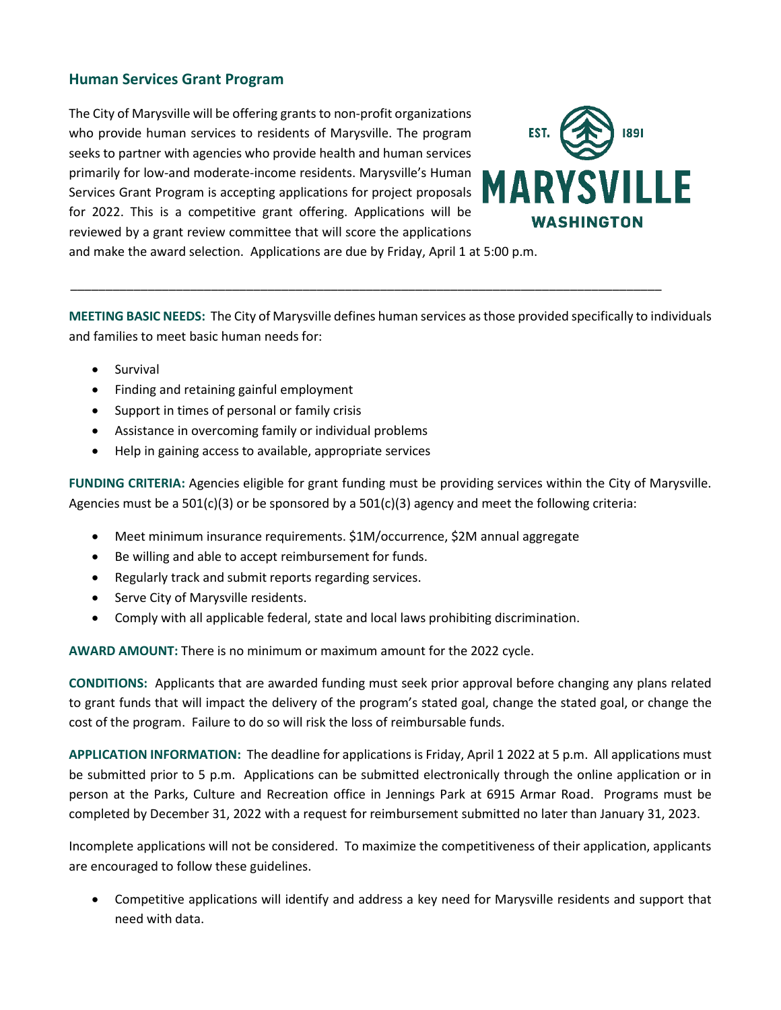#### **Human Services Grant Program**

The City of Marysville will be offering grants to non-profit organizations who provide human services to residents of Marysville. The program seeks to partner with agencies who provide health and human services primarily for low-and moderate-income residents. Marysville's Human Services Grant Program is accepting applications for project proposals for 2022. This is a competitive grant offering. Applications will be reviewed by a grant review committee that will score the applications

**MARYSVILLE WASHINGTON** 

and make the award selection. Applications are due by Friday, April 1 at 5:00 p.m.

**MEETING BASIC NEEDS:** The City of Marysville defines human services as those provided specifically to individuals and families to meet basic human needs for:

\_\_\_\_\_\_\_\_\_\_\_\_\_\_\_\_\_\_\_\_\_\_\_\_\_\_\_\_\_\_\_\_\_\_\_\_\_\_\_\_\_\_\_\_\_\_\_\_\_\_\_\_\_\_\_\_\_\_\_\_\_\_\_\_\_\_\_\_\_\_\_\_\_\_\_\_\_\_\_\_\_\_\_\_

- Survival
- Finding and retaining gainful employment
- Support in times of personal or family crisis
- Assistance in overcoming family or individual problems
- Help in gaining access to available, appropriate services

**FUNDING CRITERIA:** Agencies eligible for grant funding must be providing services within the City of Marysville. Agencies must be a  $501(c)(3)$  or be sponsored by a  $501(c)(3)$  agency and meet the following criteria:

- Meet minimum insurance requirements. \$1M/occurrence, \$2M annual aggregate
- Be willing and able to accept reimbursement for funds.
- Regularly track and submit reports regarding services.
- Serve City of Marysville residents.
- Comply with all applicable federal, state and local laws prohibiting discrimination.

**AWARD AMOUNT:** There is no minimum or maximum amount for the 2022 cycle.

**CONDITIONS:** Applicants that are awarded funding must seek prior approval before changing any plans related to grant funds that will impact the delivery of the program's stated goal, change the stated goal, or change the cost of the program. Failure to do so will risk the loss of reimbursable funds.

**APPLICATION INFORMATION:** The deadline for applications is Friday, April 1 2022 at 5 p.m. All applications must be submitted prior to 5 p.m. Applications can be submitted electronically through the online application or in person at the Parks, Culture and Recreation office in Jennings Park at 6915 Armar Road. Programs must be completed by December 31, 2022 with a request for reimbursement submitted no later than January 31, 2023.

Incomplete applications will not be considered. To maximize the competitiveness of their application, applicants are encouraged to follow these guidelines.

 Competitive applications will identify and address a key need for Marysville residents and support that need with data.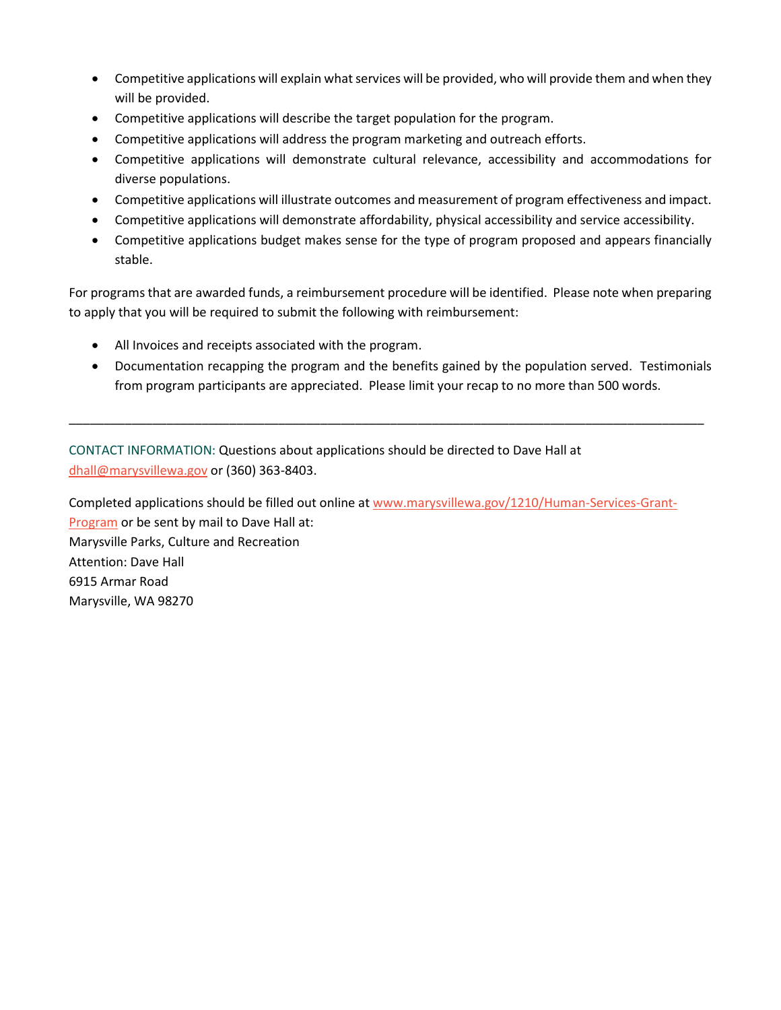- Competitive applications will explain what services will be provided, who will provide them and when they will be provided.
- Competitive applications will describe the target population for the program.
- Competitive applications will address the program marketing and outreach efforts.
- Competitive applications will demonstrate cultural relevance, accessibility and accommodations for diverse populations.
- Competitive applications will illustrate outcomes and measurement of program effectiveness and impact.
- Competitive applications will demonstrate affordability, physical accessibility and service accessibility.
- Competitive applications budget makes sense for the type of program proposed and appears financially stable.

For programs that are awarded funds, a reimbursement procedure will be identified. Please note when preparing to apply that you will be required to submit the following with reimbursement:

- All Invoices and receipts associated with the program.
- Documentation recapping the program and the benefits gained by the population served. Testimonials from program participants are appreciated. Please limit your recap to no more than 500 words.

\_\_\_\_\_\_\_\_\_\_\_\_\_\_\_\_\_\_\_\_\_\_\_\_\_\_\_\_\_\_\_\_\_\_\_\_\_\_\_\_\_\_\_\_\_\_\_\_\_\_\_\_\_\_\_\_\_\_\_\_\_\_\_\_\_\_\_\_\_\_\_\_\_\_\_\_\_\_\_\_\_\_\_\_\_\_\_\_\_\_\_

CONTACT INFORMATION: Questions about applications should be directed to Dave Hall at [dhall@marysvillewa.gov](mailto:dhall@marysvillewa.gov) or (360) 363-8403.

Completed applications should be filled out online at [www.marysvillewa.gov/1210/Human-Services-Grant-](http://www.marysvillewa.gov/1210/Human-Services-Grant-Program)[Program](http://www.marysvillewa.gov/1210/Human-Services-Grant-Program) or be sent by mail to Dave Hall at: Marysville Parks, Culture and Recreation Attention: Dave Hall 6915 Armar Road Marysville, WA 98270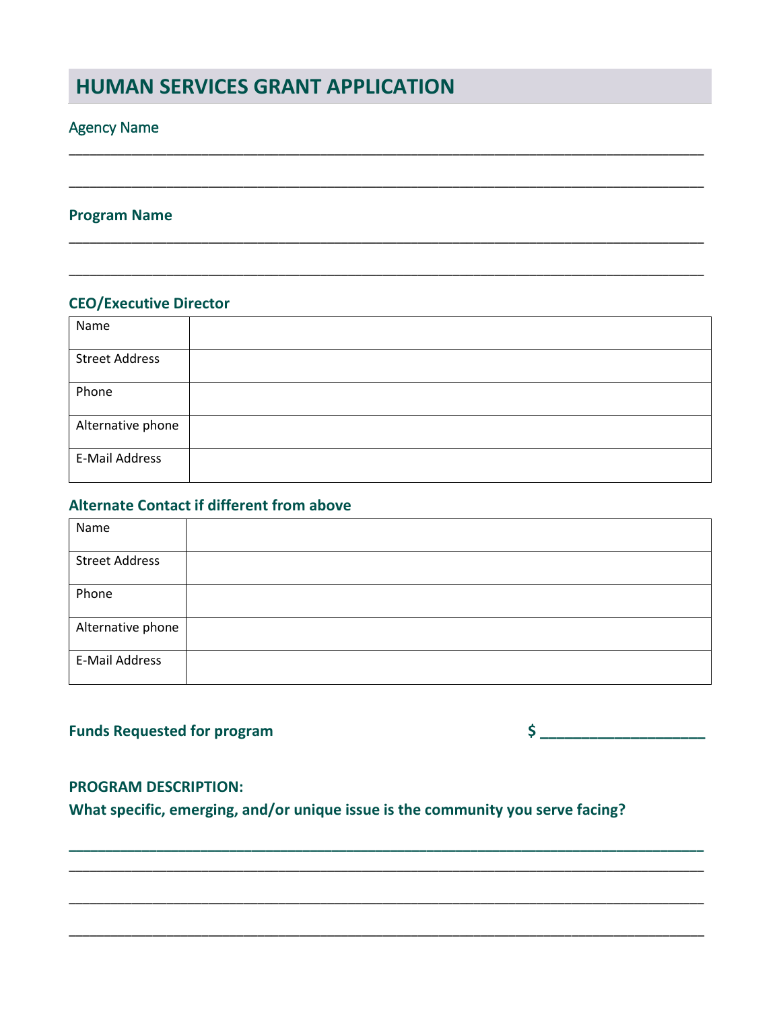# **HUMAN SERVICES GRANT APPLICATION**

# **Agency Name**

#### **Program Name**

## **CEO/Executive Director**

| Name                  |  |
|-----------------------|--|
| <b>Street Address</b> |  |
| Phone                 |  |
| Alternative phone     |  |
| E-Mail Address        |  |

### **Alternate Contact if different from above**

| Name                  |  |
|-----------------------|--|
| <b>Street Address</b> |  |
| Phone                 |  |
| Alternative phone     |  |
| E-Mail Address        |  |

# **Funds Requested for program**

 $\sim$ 

### **PROGRAM DESCRIPTION:**

What specific, emerging, and/or unique issue is the community you serve facing?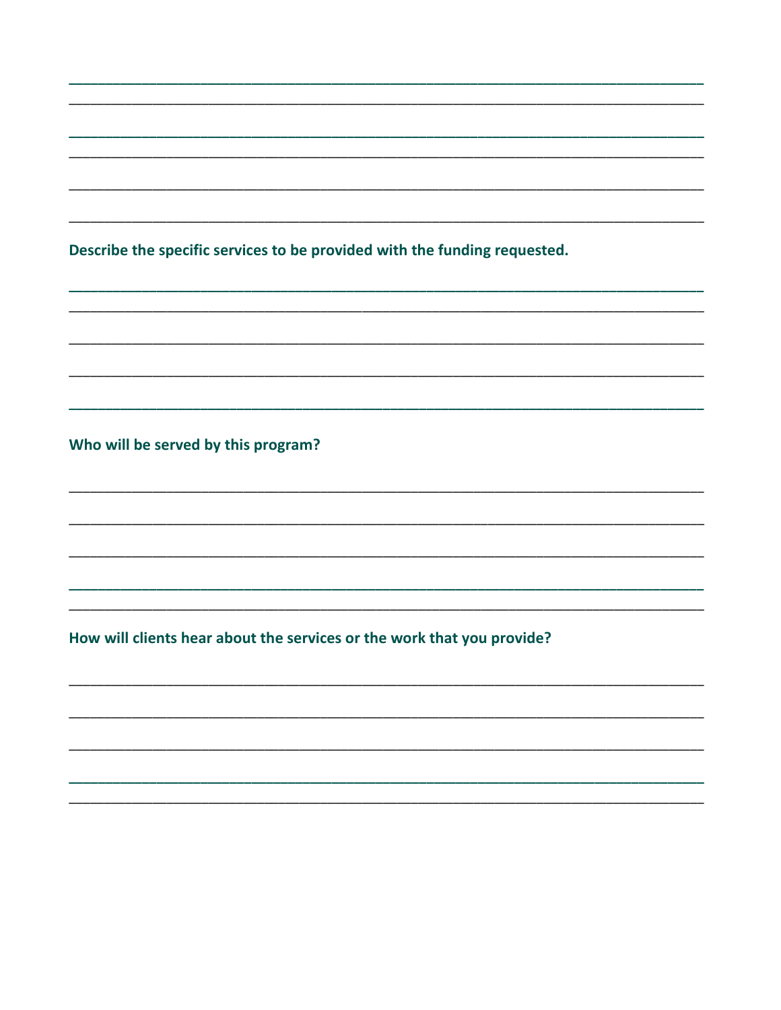Describe the specific services to be provided with the funding requested.

Who will be served by this program?

How will clients hear about the services or the work that you provide?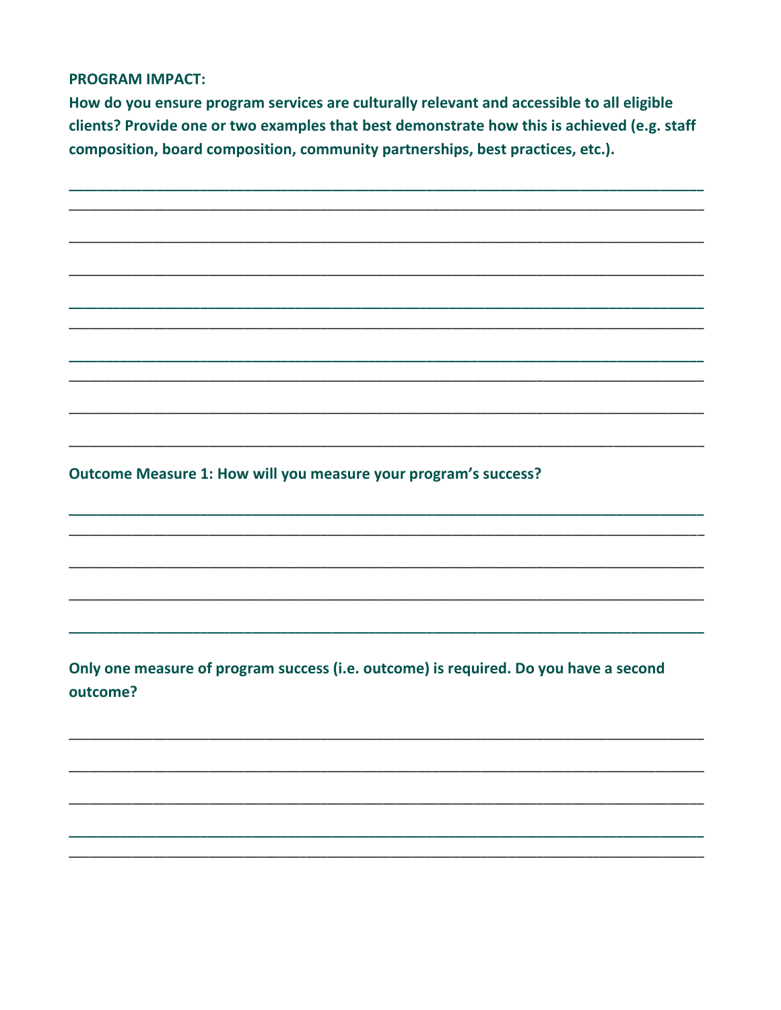#### **PROGRAM IMPACT:**

How do you ensure program services are culturally relevant and accessible to all eligible clients? Provide one or two examples that best demonstrate how this is achieved (e.g. staff composition, board composition, community partnerships, best practices, etc.).

Outcome Measure 1: How will you measure your program's success?

Only one measure of program success (i.e. outcome) is required. Do you have a second outcome?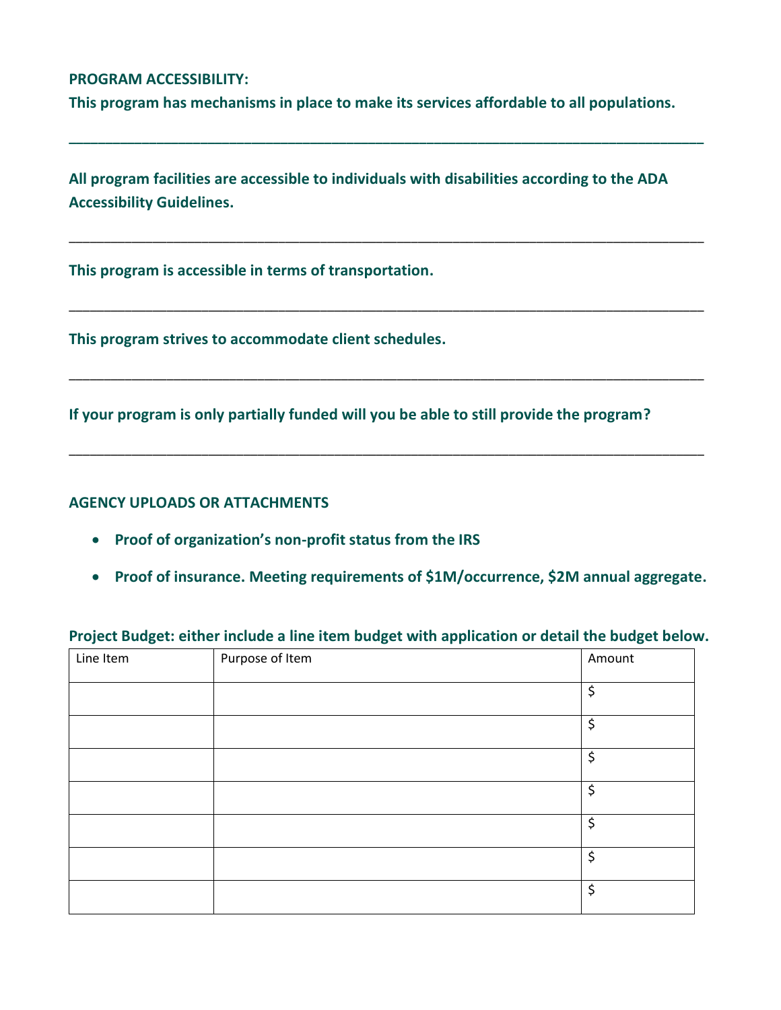### **PROGRAM ACCESSIBILITY:**

**This program has mechanisms in place to make its services affordable to all populations.**

**\_\_\_\_\_\_\_\_\_\_\_\_\_\_\_\_\_\_\_\_\_\_\_\_\_\_\_\_\_\_\_\_\_\_\_\_\_\_\_\_\_\_\_\_\_\_\_\_\_\_\_\_\_\_\_\_\_\_\_\_\_\_\_\_\_\_\_\_\_\_\_\_\_\_\_\_\_\_\_\_\_\_\_\_\_\_\_**

\_\_\_\_\_\_\_\_\_\_\_\_\_\_\_\_\_\_\_\_\_\_\_\_\_\_\_\_\_\_\_\_\_\_\_\_\_\_\_\_\_\_\_\_\_\_\_\_\_\_\_\_\_\_\_\_\_\_\_\_\_\_\_\_\_\_\_\_\_\_\_\_\_\_\_\_\_\_\_\_\_\_\_\_\_\_\_\_\_\_\_

\_\_\_\_\_\_\_\_\_\_\_\_\_\_\_\_\_\_\_\_\_\_\_\_\_\_\_\_\_\_\_\_\_\_\_\_\_\_\_\_\_\_\_\_\_\_\_\_\_\_\_\_\_\_\_\_\_\_\_\_\_\_\_\_\_\_\_\_\_\_\_\_\_\_\_\_\_\_\_\_\_\_\_\_\_\_\_\_\_\_\_

\_\_\_\_\_\_\_\_\_\_\_\_\_\_\_\_\_\_\_\_\_\_\_\_\_\_\_\_\_\_\_\_\_\_\_\_\_\_\_\_\_\_\_\_\_\_\_\_\_\_\_\_\_\_\_\_\_\_\_\_\_\_\_\_\_\_\_\_\_\_\_\_\_\_\_\_\_\_\_\_\_\_\_\_\_\_\_\_\_\_\_

\_\_\_\_\_\_\_\_\_\_\_\_\_\_\_\_\_\_\_\_\_\_\_\_\_\_\_\_\_\_\_\_\_\_\_\_\_\_\_\_\_\_\_\_\_\_\_\_\_\_\_\_\_\_\_\_\_\_\_\_\_\_\_\_\_\_\_\_\_\_\_\_\_\_\_\_\_\_\_\_\_\_\_\_\_\_\_\_\_\_\_

**All program facilities are accessible to individuals with disabilities according to the ADA Accessibility Guidelines.**

**This program is accessible in terms of transportation.**

**This program strives to accommodate client schedules.**

**If your program is only partially funded will you be able to still provide the program?**

#### **AGENCY UPLOADS OR ATTACHMENTS**

- **Proof of organization's non-profit status from the IRS**
- **Proof of insurance. Meeting requirements of \$1M/occurrence, \$2M annual aggregate.**

| Line Item | Purpose of Item | Amount  |
|-----------|-----------------|---------|
|           |                 | \$      |
|           |                 | \$      |
|           |                 | \$      |
|           |                 | \$      |
|           |                 | \$      |
|           |                 | \$      |
|           |                 | $\zeta$ |

## **Project Budget: either include a line item budget with application or detail the budget below.**